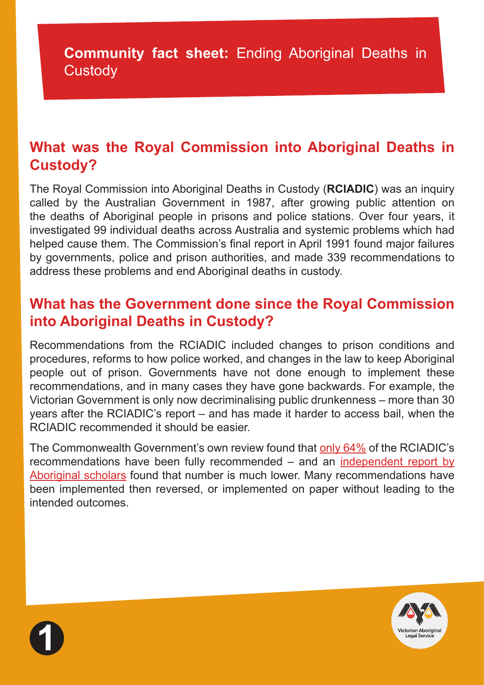## **What was the Royal Commission into Aboriginal Deaths in Custody?**

The Royal Commission into Aboriginal Deaths in Custody (**RCIADIC**) was an inquiry called by the Australian Government in 1987, after growing public attention on the deaths of Aboriginal people in prisons and police stations. Over four years, it investigated 99 individual deaths across Australia and systemic problems which had helped cause them. The Commission's final report in April 1991 found major failures by governments, police and prison authorities, and made 339 recommendations to address these problems and end Aboriginal deaths in custody.

## **What has the Government done since the Royal Commission into Aboriginal Deaths in Custody?**

Recommendations from the RCIADIC included changes to prison conditions and procedures, reforms to how police worked, and changes in the law to keep Aboriginal people out of prison. Governments have not done enough to implement these recommendations, and in many cases they have gone backwards. For example, the Victorian Government is only now decriminalising public drunkenness – more than 30 years after the RCIADIC's report – and has made it harder to access bail, when the RCIADIC recommended it should be easier.

The Commonwealth Government's own review found that [only 64%](https://www.theguardian.com/australia-news/2018/oct/24/indigenous-incarceration-rate-doubles-since-royal-commission-report-finds) of the RCIADIC's recommendations have been fully recommended – and an [independent report by](https://caepr.cass.anu.edu.au/research/publications/30-years-royal-commission-aboriginal-deaths-custody-recommendations-remain) [Aboriginal scholars](https://caepr.cass.anu.edu.au/research/publications/30-years-royal-commission-aboriginal-deaths-custody-recommendations-remain) found that number is much lower. Many recommendations have been implemented then reversed, or implemented on paper without leading to the intended outcomes.



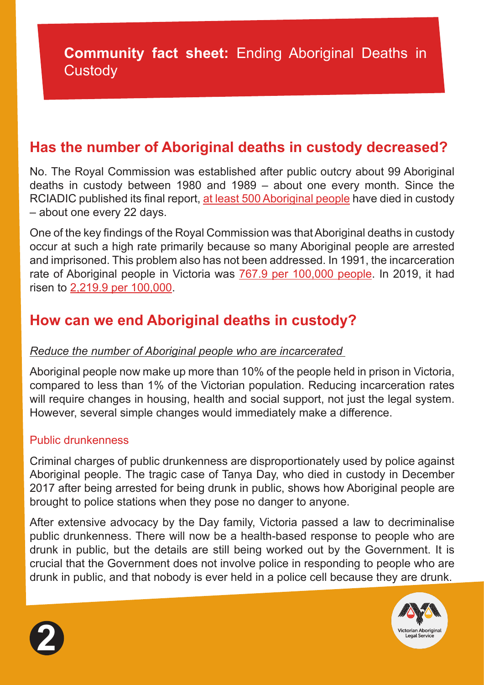## **Has the number of Aboriginal deaths in custody decreased?**

No. The Royal Commission was established after public outcry about 99 Aboriginal deaths in custody between 1980 and 1989 – about one every month. Since the RCIADIC published its final report, [at least 500 Aboriginal people](https://www.natsils.org.au/wp-content/uploads/2021/12/NATSILS-Media-Release-500-Deaths-in-Custody.docx.pdf) have died in custody – about one every 22 days.

One of the key findings of the Royal Commission was that Aboriginal deaths in custody occur at such a high rate primarily because so many Aboriginal people are arrested and imprisoned. This problem also has not been addressed. In 1991, the incarceration rate of Aboriginal people in Victoria was [767.9 per 100,000 people.](https://www.aic.gov.au/sites/default/files/2020-05/tandi137.pdf) In 2019, it had risen to [2,219.9 per 100,000.](https://www.sentencingcouncil.vic.gov.au/sentencing-statistics/victorias-indigenous-imprisonment-rates)

# **How can we end Aboriginal deaths in custody?**

## *Reduce the number of Aboriginal people who are incarcerated*

Aboriginal people now make up more than 10% of the people held in prison in Victoria, compared to less than 1% of the Victorian population. Reducing incarceration rates will require changes in housing, health and social support, not just the legal system. However, several simple changes would immediately make a difference.

## Public drunkenness

Criminal charges of public drunkenness are disproportionately used by police against Aboriginal people. The tragic case of Tanya Day, who died in custody in December 2017 after being arrested for being drunk in public, shows how Aboriginal people are brought to police stations when they pose no danger to anyone.

After extensive advocacy by the Day family, Victoria passed a law to decriminalise public drunkenness. There will now be a health-based response to people who are drunk in public, but the details are still being worked out by the Government. It is crucial that the Government does not involve police in responding to people who are drunk in public, and that nobody is ever held in a police cell because they are drunk.



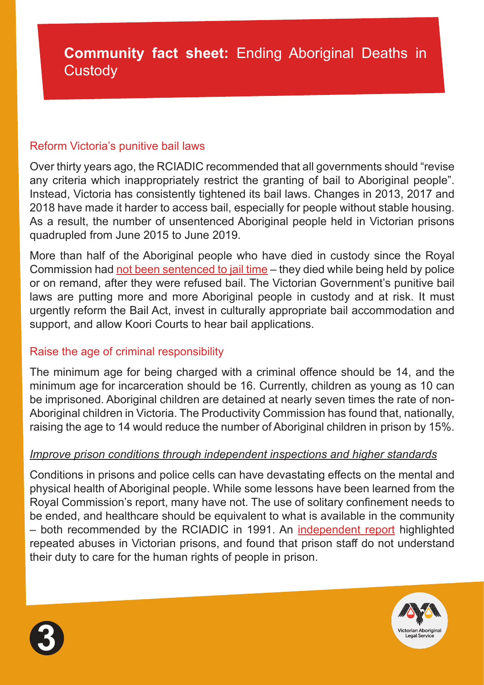#### Reform Victoria's punitive bail laws

Over thirty years ago, the RCIADIC recommended that all governments should "revise any criteria which inappropriately restrict the granting of bail to Aboriginal people". Instead, Victoria has consistently tightened its bail laws. Changes in 2013, 2017 and 2018 have made it harder to access bail, especially for people without stable housing. As a result, the number of unsentenced Aboriginal people held in Victorian prisons quadrupled from June 2015 to June 2019.

More than half of the Aboriginal people who have died in custody since the Royal Commission had [not been sentenced to jail time](https://www.theguardian.com/australia-news/2021/apr/09/the-474-deaths-inside-rising-number-of-indigenous-deaths-in-custody-revealed) – they died while being held by police or on remand, after they were refused bail. The Victorian Government's punitive bail laws are putting more and more Aboriginal people in custody and at risk. It must urgently reform the Bail Act, invest in culturally appropriate bail accommodation and support, and allow Koori Courts to hear bail applications.

## Raise the age of criminal responsibility

The minimum age for being charged with a criminal offence should be 14, and the minimum age for incarceration should be 16. Currently, children as young as 10 can be imprisoned. Aboriginal children are detained at nearly seven times the rate of non-Aboriginal children in Victoria. The Productivity Commission has found that, nationally, raising the age to 14 would reduce the number of Aboriginal children in prison by 15%.

## *Improve prison conditions through independent inspections and higher standards*

Conditions in prisons and police cells can have devastating effects on the mental and physical health of Aboriginal people. While some lessons have been learned from the Royal Commission's report, many have not. The use of solitary confinement needs to be ended, and healthcare should be equivalent to what is available in the community – both recommended by the RCIADIC in 1991. An [independent report](https://www.vals.org.au/ibac-report-finds-that-prison-expansion-and-privatisation-are-contributing-factors-to-corruption-and-abuse-within-victorias-corrections-system/) highlighted repeated abuses in Victorian prisons, and found that prison staff do not understand their duty to care for the human rights of people in prison.